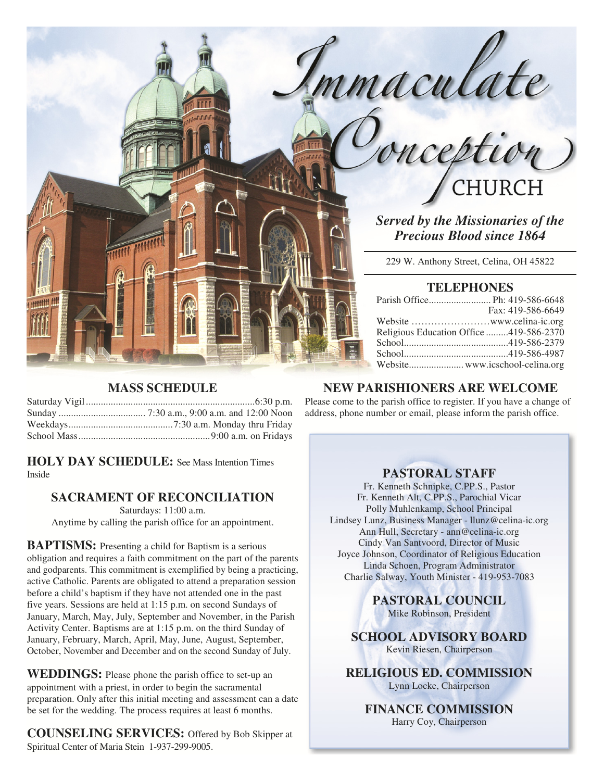

*Served by the Missionaries of the Precious Blood since 1864* 

229 W. Anthony Street, Celina, OH 45822

## **TELEPHONES**

|                                         | Fax: 419-586-6649 |
|-----------------------------------------|-------------------|
|                                         |                   |
| Religious Education Office 419-586-2370 |                   |
|                                         |                   |
|                                         |                   |
|                                         |                   |

# **MASS SCHEDULE**

**HOLY DAY SCHEDULE:** See Mass Intention Times Inside

# **SACRAMENT OF RECONCILIATION**

Saturdays: 11:00 a.m. Anytime by calling the parish office for an appointment.

**BAPTISMS:** Presenting a child for Baptism is a serious obligation and requires a faith commitment on the part of the parents and godparents. This commitment is exemplified by being a practicing, active Catholic. Parents are obligated to attend a preparation session before a child's baptism if they have not attended one in the past five years. Sessions are held at 1:15 p.m. on second Sundays of January, March, May, July, September and November, in the Parish Activity Center. Baptisms are at 1:15 p.m. on the third Sunday of January, February, March, April, May, June, August, September, October, November and December and on the second Sunday of July.

**WEDDINGS:** Please phone the parish office to set-up an appointment with a priest, in order to begin the sacramental preparation. Only after this initial meeting and assessment can a date be set for the wedding. The process requires at least 6 months.

**COUNSELING SERVICES:** Offered by Bob Skipper at Spiritual Center of Maria Stein 1-937-299-9005.

# **NEW PARISHIONERS ARE WELCOME**

Please come to the parish office to register. If you have a change of address, phone number or email, please inform the parish office.

## **PASTORAL STAFF**

Fr. Kenneth Schnipke, C.PP.S., Pastor Fr. Kenneth Alt, C.PP.S., Parochial Vicar Polly Muhlenkamp, School Principal Lindsey Lunz, Business Manager - llunz@celina-ic.org Ann Hull, Secretary - ann@celina-ic.org Cindy Van Santvoord, Director of Music Joyce Johnson, Coordinator of Religious Education Linda Schoen, Program Administrator Charlie Salway, Youth Minister - 419-953-7083

> **PASTORAL COUNCIL**  Mike Robinson, President

**SCHOOL ADVISORY BOARD**  Kevin Riesen, Chairperson

**RELIGIOUS ED. COMMISSION**  Lynn Locke, Chairperson

**FINANCE COMMISSION**  Harry Coy, Chairperson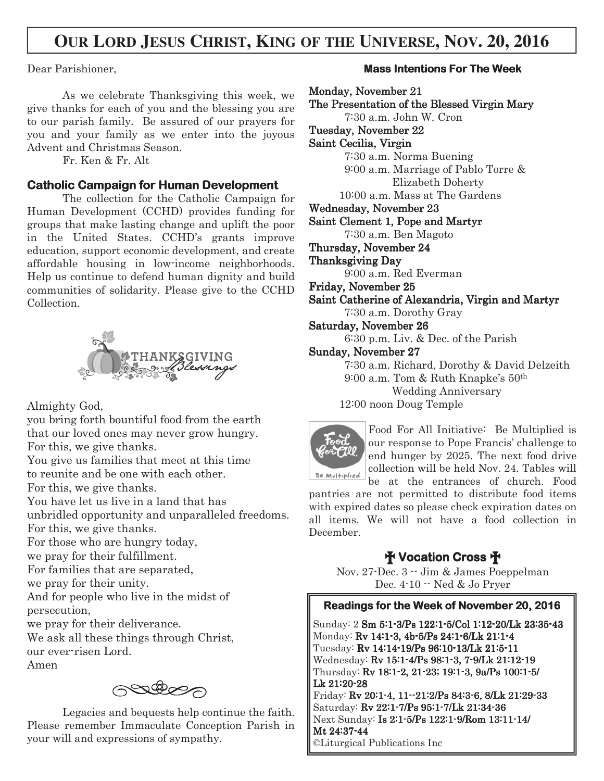# **OUR LORD JESUS CHRIST, KING OF THE UNIVERSE, NOV. 20, 2016**

Dear Parishioner,

As we celebrate Thanksgiving this week, we give thanks for each of you and the blessing you are to our parish family. Be assured of our prayers for you and your family as we enter into the joyous Advent and Christmas Season.

Fr. Ken & Fr. Alt

## **Catholic Campaign for Human Development**

 The collection for the Catholic Campaign for Human Development (CCHD) provides funding for groups that make lasting change and uplift the poor in the United States. CCHD's grants improve education, support economic development, and create affordable housing in low-income neighborhoods. Help us continue to defend human dignity and build communities of solidarity. Please give to the CCHD Collection.



Almighty God,

you bring forth bountiful food from the earth that our loved ones may never grow hungry. For this, we give thanks.

You give us families that meet at this time to reunite and be one with each other.

For this, we give thanks.

You have let us live in a land that has

unbridled opportunity and unparalleled freedoms. For this, we give thanks.

For those who are hungry today,

we pray for their fulfillment.

For families that are separated,

we pray for their unity.

And for people who live in the midst of persecution,

we pray for their deliverance.

We ask all these things through Christ, our ever-risen Lord.

Amen

podes

 Legacies and bequests help continue the faith. Please remember Immaculate Conception Parish in your will and expressions of sympathy.

## **Mass Intentions For The Week**

Monday, November 21 The Presentation of the Blessed Virgin Mary 7:30 a.m. John W. Cron Tuesday, November 22 Saint Cecilia, Virgin 7:30 a.m. Norma Buening 9:00 a.m. Marriage of Pablo Torre & Elizabeth Doherty 10:00 a.m. Mass at The Gardens Wednesday, November 23 Saint Clement 1, Pope and Martyr 7:30 a.m. Ben Magoto Thursday, November 24 Thanksgiving Day 9:00 a.m. Red Everman Friday, November 25 Saint Catherine of Alexandria, Virgin and Martyr 7:30 a.m. Dorothy Gray Saturday, November 26 6:30 p.m. Liv. & Dec. of the Parish Sunday, November 27 7:30 a.m. Richard, Dorothy & David Delzeith 9:00 a.m. Tom & Ruth Knapke's 50th Wedding Anniversary 12:00 noon Doug Temple Food For All Initiative: Be Multiplied is our response to Pope Francis' challenge to end hunger by 2025. The next food drive collection will be held Nov. 24. Tables will Be Multiplied be at the entrances of church. Food

pantries are not permitted to distribute food items with expired dates so please check expiration dates on all items. We will not have a food collection in December.

# † **Vocation Cross** †

Nov. 27-Dec. 3 -- Jim & James Poeppelman Dec. 4-10 -- Ned & Jo Pryer

# **Readings for the Week of November 20, 2016**

Sunday: 2 Sm 5:1-3/Ps 122:1-5/Col 1:12-20/Lk 23:35-43 Monday: Rv 14:1-3, 4b-5/Ps 24:1-6/Lk 21:1-4 Tuesday: Rv 14:14-19/Ps 96:10-13/Lk 21:5-11 Wednesday: Rv 15:1-4/Ps 98:1-3, 7-9/Lk 21:12-19 Thursday: Rv 18:1-2, 21-23; 19:1-3, 9a/Ps 100:1-5/ Lk 21:20-28 Friday: Rv 20:1-4, 11--21:2/Ps 84:3-6, 8/Lk 21:29-33 Saturday: Rv 22:1-7/Ps 95:1-7/Lk 21:34-36 Next Sunday: Is 2:1-5/Ps 122:1-9/Rom 13:11-14/ Mt 24:37-44

©Liturgical Publications Inc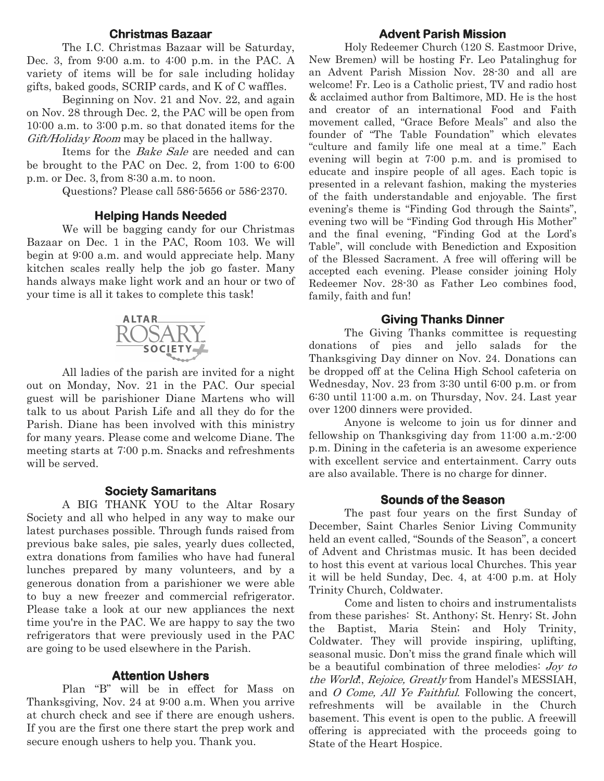#### **Christmas Bazaar Bazaar**

 The I.C. Christmas Bazaar will be Saturday, Dec. 3, from 9:00 a.m. to 4:00 p.m. in the PAC. A variety of items will be for sale including holiday gifts, baked goods, SCRIP cards, and K of C waffles.

 Beginning on Nov. 21 and Nov. 22, and again on Nov. 28 through Dec. 2, the PAC will be open from 10:00 a.m. to 3:00 p.m. so that donated items for the Gift/Holiday Room may be placed in the hallway.

Items for the *Bake Sale* are needed and can be brought to the PAC on Dec. 2, from 1:00 to 6:00 p.m. or Dec. 3, from 8:30 a.m. to noon.

Questions? Please call 586-5656 or 586-2370.

#### **Helping Hands Needed**

 We will be bagging candy for our Christmas Bazaar on Dec. 1 in the PAC, Room 103. We will begin at 9:00 a.m. and would appreciate help. Many kitchen scales really help the job go faster. Many hands always make light work and an hour or two of your time is all it takes to complete this task!



 All ladies of the parish are invited for a night out on Monday, Nov. 21 in the PAC. Our special guest will be parishioner Diane Martens who will talk to us about Parish Life and all they do for the Parish. Diane has been involved with this ministry for many years. Please come and welcome Diane. The meeting starts at 7:00 p.m. Snacks and refreshments will be served.

#### **Society Samaritans**

 A BIG THANK YOU to the Altar Rosary Society and all who helped in any way to make our latest purchases possible. Through funds raised from previous bake sales, pie sales, yearly dues collected, extra donations from families who have had funeral lunches prepared by many volunteers, and by a generous donation from a parishioner we were able to buy a new freezer and commercial refrigerator. Please take a look at our new appliances the next time you're in the PAC. We are happy to say the two refrigerators that were previously used in the PAC are going to be used elsewhere in the Parish.

#### **Attention Ushers**

 Plan "B" will be in effect for Mass on Thanksgiving, Nov. 24 at 9:00 a.m. When you arrive at church check and see if there are enough ushers. If you are the first one there start the prep work and secure enough ushers to help you. Thank you.

#### **Advent Parish Mission**

 Holy Redeemer Church (120 S. Eastmoor Drive, New Bremen) will be hosting Fr. Leo Patalinghug for an Advent Parish Mission Nov. 28-30 and all are welcome! Fr. Leo is a Catholic priest, TV and radio host & acclaimed author from Baltimore, MD. He is the host and creator of an international Food and Faith movement called, "Grace Before Meals" and also the founder of "The Table Foundation" which elevates "culture and family life one meal at a time." Each evening will begin at 7:00 p.m. and is promised to educate and inspire people of all ages. Each topic is presented in a relevant fashion, making the mysteries of the faith understandable and enjoyable. The first evening's theme is "Finding God through the Saints", evening two will be "Finding God through His Mother" and the final evening, "Finding God at the Lord's Table", will conclude with Benediction and Exposition of the Blessed Sacrament. A free will offering will be accepted each evening. Please consider joining Holy Redeemer Nov. 28-30 as Father Leo combines food, family, faith and fun!

#### **Giving Thanks Dinner**

 The Giving Thanks committee is requesting donations of pies and jello salads for the Thanksgiving Day dinner on Nov. 24. Donations can be dropped off at the Celina High School cafeteria on Wednesday, Nov. 23 from 3:30 until 6:00 p.m. or from 6:30 until 11:00 a.m. on Thursday, Nov. 24. Last year over 1200 dinners were provided.

 Anyone is welcome to join us for dinner and fellowship on Thanksgiving day from 11:00 a.m.-2:00 p.m. Dining in the cafeteria is an awesome experience with excellent service and entertainment. Carry outs are also available. There is no charge for dinner.

#### **Sounds of the Season**

The past four years on the first Sunday of December, Saint Charles Senior Living Community held an event called, "Sounds of the Season", a concert of Advent and Christmas music. It has been decided to host this event at various local Churches. This year it will be held Sunday, Dec. 4, at 4:00 p.m. at Holy Trinity Church, Coldwater.

Come and listen to choirs and instrumentalists from these parishes: St. Anthony; St. Henry; St. John the Baptist, Maria Stein; and Holy Trinity, Coldwater. They will provide inspiring, uplifting, seasonal music. Don't miss the grand finale which will be a beautiful combination of three melodies: Joy to the World!, Rejoice, Greatly from Handel's MESSIAH, and O Come, All Ye Faithful. Following the concert, refreshments will be available in the Church basement. This event is open to the public. A freewill offering is appreciated with the proceeds going to State of the Heart Hospice.